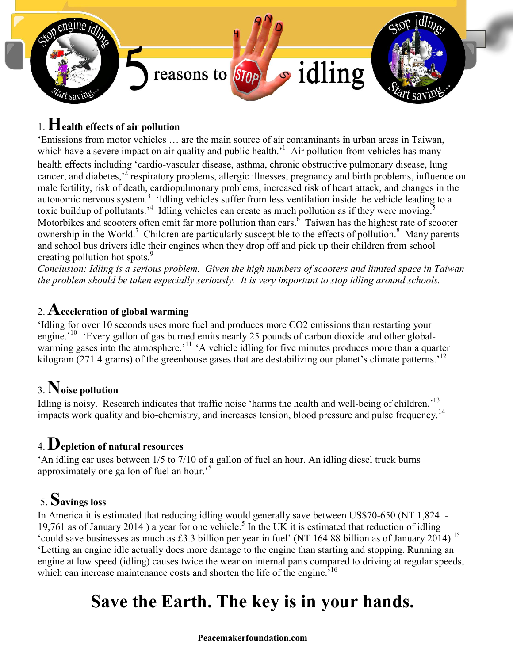

## 1.  $\bf{H}$ ealth effects of air pollution

'Emissions from motor vehicles … are the main source of air contaminants in urban areas in Taiwan, which have a severe impact on air quality and public health.<sup>1</sup> Air pollution from vehicles has many health effects including 'cardio-vascular disease, asthma, chronic obstructive pulmonary disease, lung cancer, and diabetes,<sup>2</sup> respiratory problems, allergic illnesses, pregnancy and birth problems, influence on male fertility, risk of death, cardiopulmonary problems, increased risk of heart attack, and changes in the autonomic nervous system.<sup>3</sup> 'Idling vehicles suffer from less ventilation inside the vehicle leading to a toxic buildup of pollutants.<sup>4</sup> Idling vehicles can create as much pollution as if they were moving.<sup>5</sup> Motorbikes and scooters often emit far more pollution than cars. <sup>6</sup> Taiwan has the highest rate of scooter ownership in the World.<sup>7</sup> Children are particularly susceptible to the effects of pollution.<sup>8</sup> Many parents and school bus drivers idle their engines when they drop off and pick up their children from school creating pollution hot spots.<sup>9</sup>

*Conclusion: Idling is a serious problem. Given the high numbers of scooters and limited space in Taiwan the problem should be taken especially seriously. It is very important to stop idling around schools.*

#### 2.  ${\bf A}$ cceleration of global warming

'Idling for over 10 seconds uses more fuel and produces more CO2 emissions than restarting your engine.<sup>10</sup> 'Every gallon of gas burned emits nearly 25 pounds of carbon dioxide and other globalwarming gases into the atmosphere.<sup>'11</sup> 'A vehicle idling for five minutes produces more than a quarter kilogram (271.4 grams) of the greenhouse gases that are destabilizing our planet's climate patterns.<sup>12</sup>

### 3.Noise pollution

Idling is noisy. Research indicates that traffic noise 'harms the health and well-being of children,'<sup>13</sup> impacts work quality and bio-chemistry, and increases tension, blood pressure and pulse frequency.<sup>14</sup>

### 4. Depletion of natural resources

'An idling car uses between 1/5 to 7/10 of a gallon of fuel an hour. An idling diesel truck burns approximately one gallon of fuel an hour.<sup>5</sup>

## 5. Savings loss

In America it is estimated that reducing idling would generally save between US\$70-650 (NT 1,824 - 19,761 as of January 2014 ) a year for one vehicle. <sup>5</sup> In the UK it is estimated that reduction of idling 'could save businesses as much as £3.3 billion per year in fuel' (NT 164.88 billion as of January 2014). 15 'Letting an engine idle actually does more damage to the engine than starting and stopping. Running an engine at low speed (idling) causes twice the wear on internal parts compared to driving at regular speeds, which can increase maintenance costs and shorten the life of the engine.<sup>516</sup>

# Save the Earth. The key is in your hands.

#### Peacemakerfoundation.com